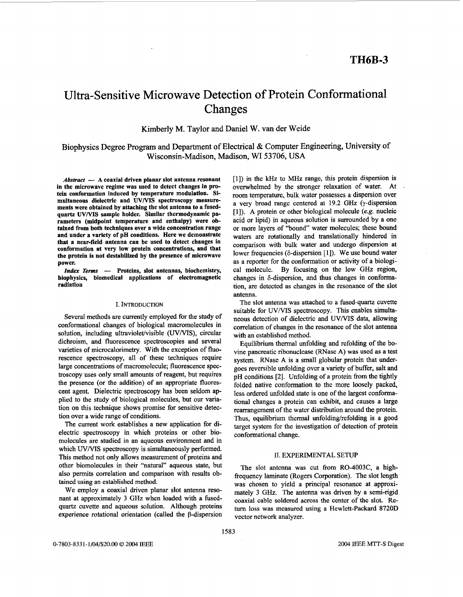# Ultra-Sensitive Microwave Detection of Protein Conformational Changes

Kimberly M. Taylor and Daniel W. van der Weide

Biophysics Degree Program and Department of Electrical & Computer Engineering, University of Wisconsin-Madison, Madison, WI **53706, USA** 

*Abstract* - A coaxial driven planar slot antenna resonant **in the microwave regime was used to detect changes in protein conformation induced by temperature modulation. Simultaneous dielectric and WMS spectroscopy measure- ments were obtained by attaching the slot antenna to a fusedquartz WMS sample holder. Similar thermodynamic parameters (midpoint temperature and enthalpy) were obtained from both techniques over a wide concentration range and under a variety of pH conditions. Here we demonstrate that a near-field antenna can be used to detect changes in conformation at very low protein concentrations, and that the protein is not destabilized by the presence of microwave power.** 

*Index Terms* - Proteins, slot antennas, biochemistry, **biophysics, biomedical applications of electromagnetic radiation** 

#### **I. INTRODUCTION**

Several methods are currently employed for the study of conformational changes of biological macromolecules in solution, including ultraviolet/visible *(UV/VIS)*, circular dichroism, and fluorescence spectroscopies and several varieties of microcalorimetry. With the exception of fluorescence spectroscopy, all of these techniques require large concentrations of macromolecule; fluorescence spectroscopy uses only small amounts of reagent, but requires the presence (or the addition) of an appropriate fluorescent agent. Dielectric spectroscopy has been seldom applied to the study of biological molecules, but our variation on this technique shows promise for sensitive detection over a wide range of conditions.

The current work establishes a new application for dielectric spectroscopy in which proteins or other biomolecules are studied in an aqueous environment and in which *UV/VIS* spectroscopy is simultaneously performed. This method not only allows measurement of proteins and other biomolecules in their "natural" aqueous state, but also permits correlation and comparison with results obtained using an established method.

We employ a coaxial driven planar slot antenna resonant at approximately 3 **GHz** when loaded with a fusedquartz cuvette and aqueous solution. Although proteins experience rotational orientation (called the  $\beta$ -dispersion [l]) in the **kHz** to *MHz* range, this protein dispersion is overwhelmed by the stronger relaxation of water. At room temperature, bulk water possesses a dispersion over a very broad range centered at 19.2 GHz (y-dispersion [1]). A protein or other biological molecule (e.g. nucleic acid or lipid) in aqueous solution is surrounded by a one or more layers of "bound" water molecules; these bound waters are rotationally and translationally hindered in comparison with bulk water and undergo dispersion at lower frequencies ( $\delta$ -dispersion [1]). We use bound water as a reporter for the conformation or activity of a biological molecule. By focusing on the low GHz region, changes in  $\delta$ -dispersion, and thus changes in conformation, are detected as changes in the resonance of the slot antenna.

The slot antenna was attached to a fused-quartz cuvette suitable for *UV/VIS* spectroscopy. This enables simultaneous detection of dielectric and UV/VIS data, allowing correlation of changes in the resonance of the slot antenna with an established method.

Equilibrium thermal unfolding and refolding of the bovine pancreatic ribonuclease (RNase A) was used as a test system. RNase A is a small globular protein that undergoes reversible unfolding over a variety of buffer, salt and pH conditions [2]. Unfolding of a protein from the tightly folded native conformation to the more loosely packed, less ordered unfolded state is one of the largest conformational changes a protein can exhibit, and causes a large rearrangement of the water distribution around the protein. Thus, equilibrium thermal unfolding/refolding is a good target system for the investigation of detection of protein conformational change.

## 11. **EXPERIMENTAL SETUP**

The slot antenna was cut from RO-4003C, a highfrequency laminate (Rogers Corporation). The slot length was chosen to yield a principal resonance at approximately 3 GHz. The antenna was driven by a semi-rigid coaxial cable soldered across the center of the slot. Return loss was measured using a Hewlett-Packard 8720D vector network analyzer.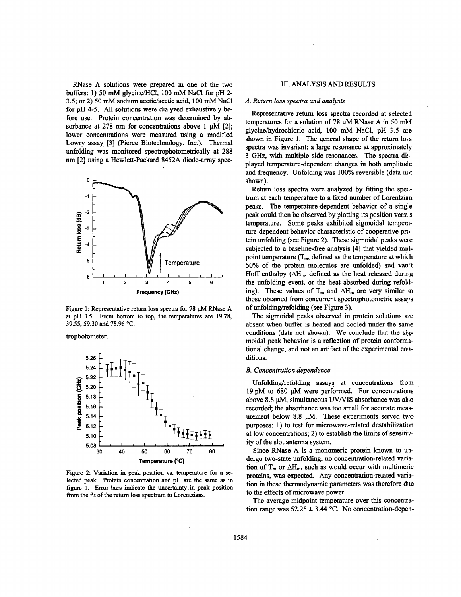RNase **A** solutions were prepared in one of the two buffers: I) **50** mM glycine/HCl, 100 mM NaCl for pH **2-**  3.5; or 2) 50 mM sodium acetic/acetic acid, 100 mM NaCl for pH **4-5.** All solutions were dialyzed exhaustively before use. Protein concentration was determined by absorbance at  $278$  nm for concentrations above 1  $\mu$ M [2]; lower concentrations were measured using a modified Lowry assay **[3]** (Pierce Biotechnology, Inc.). Thermal unfolding was monitored spectrophotometrically at **288**  nm <sup>[2]</sup> using a Hewlett-Packard 8452A diode-array spec-



Figure 1: Representative return loss spectra for 78  $\mu$ M RNase A at pH **3.5.** From bottom to top, the temperatures are **19.78, 39.55,59.30 and 78.96** *"C.* 

trophotometer.



Figure 2: Variation in peak position vs. temperature for **a** selected peak. Protein concentration **and** pH are the same **as** in figure 1. Error **bars** indicate the uncertainty in peak position from the fit of the return loss spectrum to Lorentzians.

## 111. **ANALYSIS AND RESULTS**

## *A. Return loss spectra and analysis*

Representative return loss spectra recorded at selected temperatures for a solution of 78  $\mu$ M RNase A in 50 mM glycinehydrochloric acid, 100 mM NaC1, pH **3.5** are shown in Figure 1. The general shape of the return loss spectra was invariant: a large resonance at approximately 3 *GHz,* with multiple side resonances. The spectra displayed temperature-dependent changes in both amplitude and frequency. Unfolding was 100% reversible (data not shown).

Return loss spectra were analyzed by fitting the spectrum at each temperature to a fixed number of Lorentzian peaks. The temperature-dependent behavior of a single peak could then be observed by plotting its position versus temperature. Some peaks exhibited sigmoidal temperature-dependent behavior characteristic of cooperative protein unfolding (see Figure **2).** These sigmoidal peaks were subjected to a baseline-free analysis **[4]** that yielded **miti**point temperature  $(T_m, \text{ defined as the temperature at which})$ **50%** of the protein molecules are unfolded) **and** van't Hoff enthalpy  $(\Delta H_m)$ , defined as the heat released during the unfolding event, or the heat absorbed during refolding). These values of  $T_m$  and  $\Delta H_m$  are very similar to those obtained from concurrent spectrophotometric assays of unfolding/refolding (see Figure 3).

The sigmoidal peaks observed in protein solutions are absent when buffer is heated and cooled under the same conditions (data not shown). We conclude that the **sig**moidal peak behavior is a reflection of protein conforrnational change, and not **an** artifact of the experimental conditions.

#### *B. Concentration dependence*

Unfolding/refolding assays at concentrations from 19pM to 680 **pM** were performed. For concentrations above **8.8 pM,** simultaneous **WNIS** absorbance was also recorded; the absorbance was too small for accurate measurement below **8.8 pM.** These experiments served two purposes: 1) to test for microwave-related destabilization at low concentrations; **2)** to establish the limits of sensitivity of the slot antenna system.

Since RNase A is a monomeric protein known to **ua**dergo two-state unfolding, no concentration-related variation of  $T_m$  or  $\Delta H_m$ , such as would occur with multimeric proteins, was expected. Any concentration-related variation in these thermodynamic parameters was therefore due to the effects of microwave power.

The average midpoint temperature over this concentration range was  $52.25 \pm 3.44$  °C. No concentration-depen-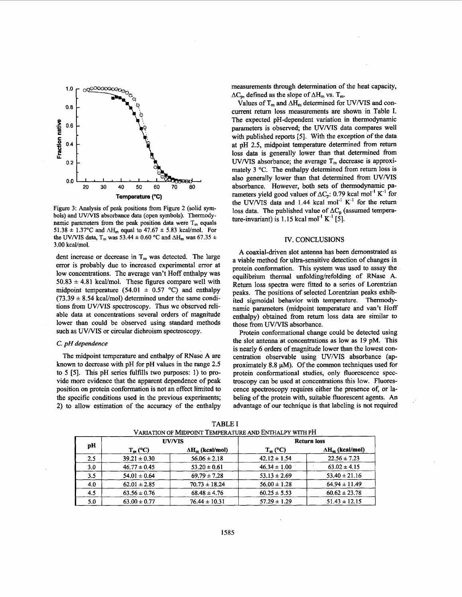

Figure 3: Analysis of peak positions from Figure 2 (solid symbols) and *UV/VIS* absorbance data (open symbols). Thermodynamic parameters from the peak position data were  $T_m$  equals 51.38  $\pm$  1.37°C and  $\Delta H_m$  equal to 47.67  $\pm$  5.83 kcal/mol. For the UV/VIS data,  $T_m$  was 53.44  $\pm$  0.60 °C and  $\Delta H_m$  was 67.35  $\pm$  $3.00$  kcal/mol.

dent increase or decrease in  $T_m$  was detected. The large error is probably due to increased experimental error at low concentrations. The average van't Hoff enthalpy was  $50.83 \pm 4.81$  kcal/mol. These figures compare well with midpoint temperature  $(54.01 \pm 0.57 \degree C)$  and enthalpy  $(73.39 \pm 8.54 \text{ kcal/mol})$  determined under the same conditions from UV/VIS spectroscopy. Thus we observed reliable data at concentrations several orders of magnitude lower than could be observed using standard methods such as UV/VIS or circular dichroism spectroscopy.

## *C. pH dependence*

The midpoint temperature and enthalpy of RNase A are **known** to decrease with pH for pH values in the range **2.5**  to 5 **[5].** This pH series fulfills two purposes: 1) to provide more evidence that the apparent dependence of peak position on protein conformation is not an effect limited to the specific conditions used in the previous experiments; 2) to allow estimation of the accuracy of the enthalpy measurements through determination of the heat capacity,  $\Delta C_{\rm o}$ , defined as the slope of  $\Delta H_{\rm m}$  vs. T<sub>m</sub>.

Values of  $T_m$  and  $\Delta H_m$  determined for *UV/VIS* and concurrent return loss measurements are shown in Table I. The expected pH-dependent variation in thermodynamic parameters is observed; the UV/VIS data compares well with published reports *[5].* With the exception of the data at **pH 2.5,** midpoint temperature determined from return loss data is generally lower than that determined from  $UV/VIS$  absorbance; the average  $T_m$  decrease is approximately 3 °C. The enthalpy determined from return loss is also generally lower than that determined from *UVMS*  absorbance. However, both sets of thermodynamic parameters yield good values of  $\Delta C_p$ : 0.79 kcal mol<sup>-1</sup> K<sup>-1</sup> for the UV/VIS data and  $1.44$  kcal mol<sup>-1</sup> K<sup>-1</sup> for the return loss data. The published value of  $\Delta C_p$  (assumed temperature-invariant) is 1.15 kcal mol<sup>-1</sup> K<sup>-1</sup> [5].

## IV. CONCLUSIONS

A coaxial-driven slot antenna has been demonstrated as a viable method for ultra-sensitive detection of changes in protein conformation. This system was used to assay the equilibrium thermal unfolding/refolding of RNase A. Return loss spectra were fitted to a series of Lorentzian peaks. The positions of selected Lorentzian peaks exhibited sigmoidal behavior with temperature. Thermodynamic parameters (midpoint temperature and van't Hoff enthalpy) obtained from return loss data **are** similar to those from UV/VIS absorbance.

Protein conformational change could be detected using the slot antenna at concentrations as low as **19** pM. This is nearly 6 orders of magnitude lower than the lowest concentration observable using *UV/VIS* absorbance (approximately 8.8  $\mu$ M). Of the common techniques used for protein conformational studies, only fluorescence spectroscopy can be used at concentrations this low. Fluorescence spectroscopy requires either the presence **of,** or labeling of the protein with, suitable fluorescent agents. *An*  advantage of our technique is that labeling is not required

| pH  | <b>UV/VIS</b>    |                         | <b>Return loss</b> |                         |
|-----|------------------|-------------------------|--------------------|-------------------------|
|     | $T_m$ (°C)       | $\Delta H_m$ (kcal/mol) | $T_m$ (°C)         | $\Delta H_m$ (kcal/mol) |
| 2.5 | $39.21 \pm 0.30$ | $56.06 \pm 2.18$        | $42.12 \pm 1.54$   | $22.56 \pm 7.23$        |
| 3.0 | $46.77 \pm 0.45$ | $53.20 \pm 0.61$        | $46.34 \pm 1.00$   | $63.02 \pm 4.15$        |
| 3.5 | $54.01 \pm 0.64$ | $69.79 \pm 7.28$        | $53.13 \pm 2.69$   | $53.40 \pm 21.16$       |
| 4.0 | $62.01 \pm 2.85$ | $70.73 \pm 18.24$       | $56.00 \pm 1.28$   | $64.94 \pm 11.49$       |
| 4.5 | $63.56 \pm 0.76$ | $68.48 \pm 4.76$        | $60.25 \pm 5.53$   | $60.62 \pm 23.78$       |
| 5.0 | $63.00 \pm 0.77$ | $76.44 \pm 10.31$       | $57.29 \pm 1.29$   | $51.43 \pm 12.15$       |

TABLE I VARIATION OF MDPOINT TEMPERATURE *AND* ENTHALPY WITH PH